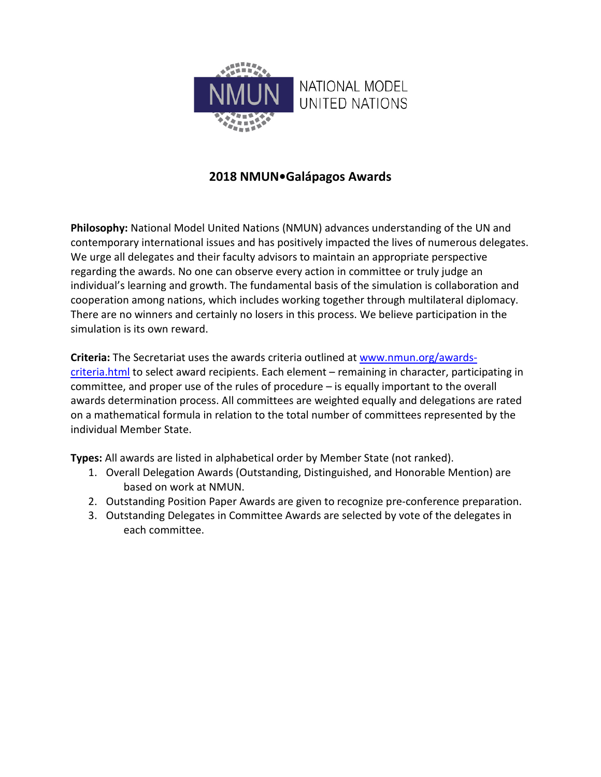

## **2018 NMUN•Galápagos Awards**

**Philosophy:** National Model United Nations (NMUN) advances understanding of the UN and contemporary international issues and has positively impacted the lives of numerous delegates. We urge all delegates and their faculty advisors to maintain an appropriate perspective regarding the awards. No one can observe every action in committee or truly judge an individual's learning and growth. The fundamental basis of the simulation is collaboration and cooperation among nations, which includes working together through multilateral diplomacy. There are no winners and certainly no losers in this process. We believe participation in the simulation is its own reward.

**Criteria:** The Secretariat uses the awards criteria outlined at [www.nmun.org/awards](http://www.nmun.org/awards-criteria.html)[criteria.html](http://www.nmun.org/awards-criteria.html) to select award recipients. Each element - remaining in character, participating in committee, and proper use of the rules of procedure – is equally important to the overall awards determination process. All committees are weighted equally and delegations are rated on a mathematical formula in relation to the total number of committees represented by the individual Member State.

**Types:** All awards are listed in alphabetical order by Member State (not ranked).

- 1. Overall Delegation Awards (Outstanding, Distinguished, and Honorable Mention) are based on work at NMUN.
- 2. Outstanding Position Paper Awards are given to recognize pre-conference preparation.
- 3. Outstanding Delegates in Committee Awards are selected by vote of the delegates in each committee.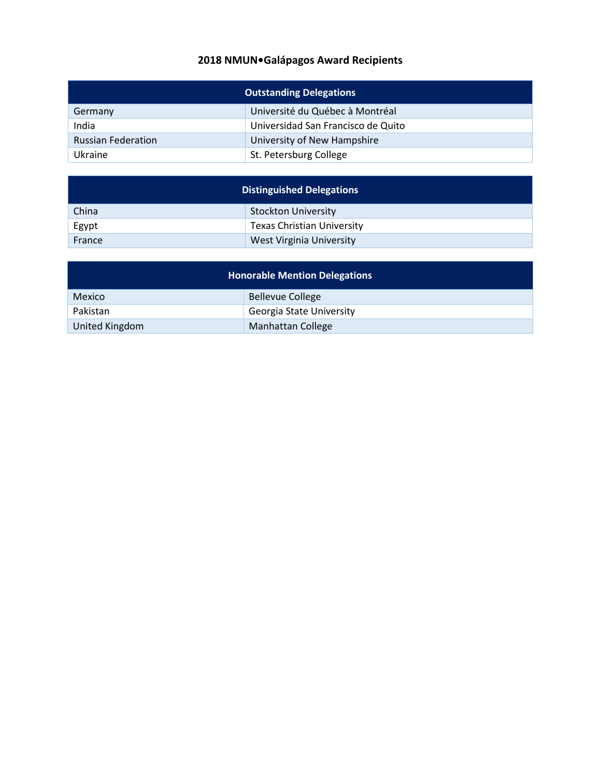## **2018 NMUN•Galápagos Award Recipients**

| <b>Outstanding Delegations</b> |                                    |  |
|--------------------------------|------------------------------------|--|
| Germany                        | Université du Québec à Montréal    |  |
| India                          | Universidad San Francisco de Quito |  |
| <b>Russian Federation</b>      | University of New Hampshire        |  |
| Ukraine                        | St. Petersburg College             |  |

| <b>Distinguished Delegations</b> |                                   |  |
|----------------------------------|-----------------------------------|--|
| China                            | <b>Stockton University</b>        |  |
| Egypt                            | <b>Texas Christian University</b> |  |
| France                           | West Virginia University          |  |

| <b>Honorable Mention Delegations</b> |                          |  |  |
|--------------------------------------|--------------------------|--|--|
| Mexico                               | <b>Bellevue College</b>  |  |  |
| Pakistan                             | Georgia State University |  |  |
| United Kingdom                       | Manhattan College        |  |  |